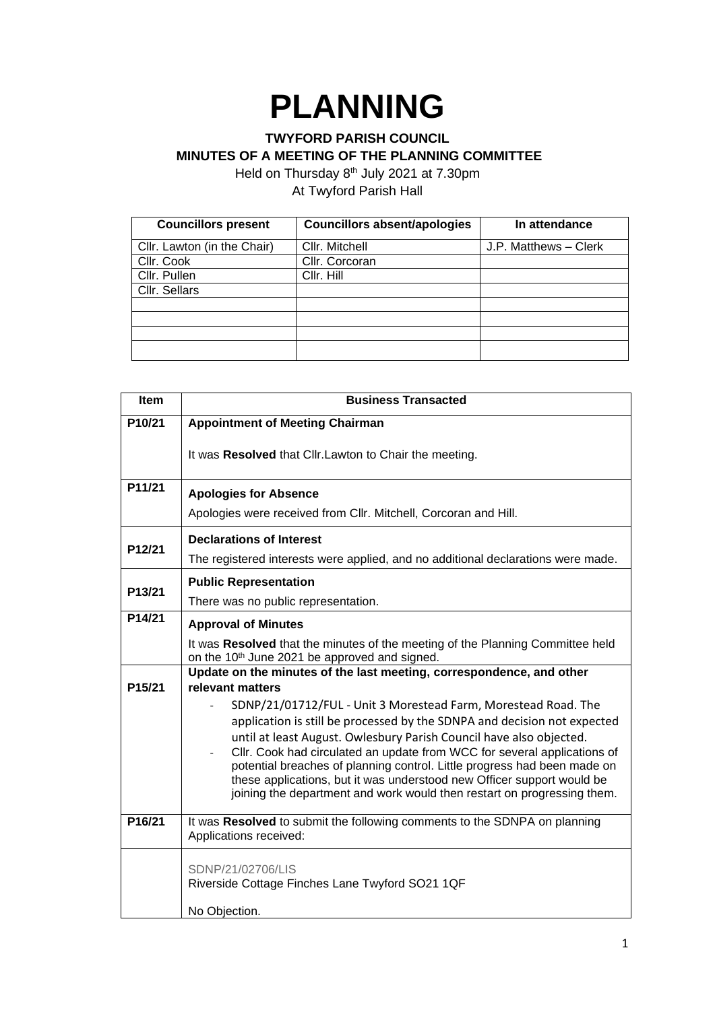## **PLANNING**

## **TWYFORD PARISH COUNCIL**

**MINUTES OF A MEETING OF THE PLANNING COMMITTEE**

Held on Thursday 8<sup>th</sup> July 2021 at 7.30pm At Twyford Parish Hall

| <b>Councillors present</b>  | <b>Councillors absent/apologies</b> | In attendance         |
|-----------------------------|-------------------------------------|-----------------------|
| Cllr. Lawton (in the Chair) | Cllr. Mitchell                      | J.P. Matthews - Clerk |
| Cllr. Cook                  | Cllr. Corcoran                      |                       |
| Cllr. Pullen                | Cllr. Hill                          |                       |
| Cllr. Sellars               |                                     |                       |
|                             |                                     |                       |
|                             |                                     |                       |
|                             |                                     |                       |
|                             |                                     |                       |

| <b>Item</b> | <b>Business Transacted</b>                                                               |  |  |
|-------------|------------------------------------------------------------------------------------------|--|--|
| P10/21      | <b>Appointment of Meeting Chairman</b>                                                   |  |  |
|             | It was Resolved that Cllr. Lawton to Chair the meeting.                                  |  |  |
| P11/21      | <b>Apologies for Absence</b>                                                             |  |  |
|             | Apologies were received from Cllr. Mitchell, Corcoran and Hill.                          |  |  |
| P12/21      | <b>Declarations of Interest</b>                                                          |  |  |
|             | The registered interests were applied, and no additional declarations were made.         |  |  |
| P13/21      | <b>Public Representation</b>                                                             |  |  |
|             | There was no public representation.                                                      |  |  |
| P14/21      | <b>Approval of Minutes</b>                                                               |  |  |
|             | It was Resolved that the minutes of the meeting of the Planning Committee held           |  |  |
|             | on the 10 <sup>th</sup> June 2021 be approved and signed.                                |  |  |
| P15/21      | Update on the minutes of the last meeting, correspondence, and other<br>relevant matters |  |  |
|             | SDNP/21/01712/FUL - Unit 3 Morestead Farm, Morestead Road. The                           |  |  |
|             | application is still be processed by the SDNPA and decision not expected                 |  |  |
|             | until at least August. Owlesbury Parish Council have also objected.                      |  |  |
|             | Cllr. Cook had circulated an update from WCC for several applications of                 |  |  |
|             | potential breaches of planning control. Little progress had been made on                 |  |  |
|             | these applications, but it was understood new Officer support would be                   |  |  |
|             | joining the department and work would then restart on progressing them.                  |  |  |
| P16/21      | It was Resolved to submit the following comments to the SDNPA on planning                |  |  |
|             | Applications received:                                                                   |  |  |
|             | SDNP/21/02706/LIS                                                                        |  |  |
|             | Riverside Cottage Finches Lane Twyford SO21 1QF                                          |  |  |
|             |                                                                                          |  |  |
|             | No Objection.                                                                            |  |  |